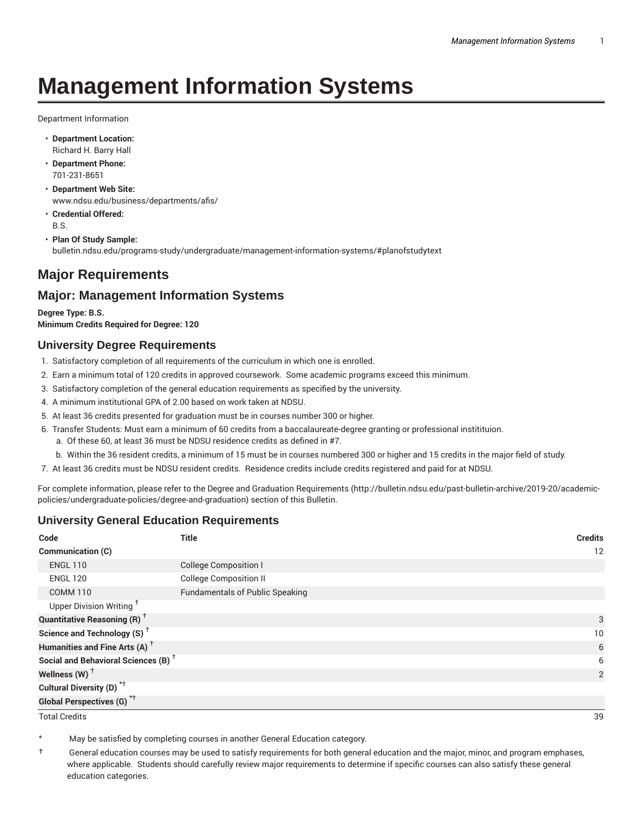# **Management Information Systems**

Department Information

- **Department Location:** Richard H. Barry Hall
- **Department Phone:** 701-231-8651
- **Department Web Site:** www.ndsu.edu/business/departments/afis/
- **Credential Offered:** B.S.
- **Plan Of Study Sample:** bulletin.ndsu.edu/programs-study/undergraduate/management-information-systems/#planofstudytext

# **Major Requirements**

# **Major: Management Information Systems**

**Degree Type: B.S. Minimum Credits Required for Degree: 120**

#### **University Degree Requirements**

- 1. Satisfactory completion of all requirements of the curriculum in which one is enrolled.
- 2. Earn a minimum total of 120 credits in approved coursework. Some academic programs exceed this minimum.
- 3. Satisfactory completion of the general education requirements as specified by the university.
- 4. A minimum institutional GPA of 2.00 based on work taken at NDSU.
- 5. At least 36 credits presented for graduation must be in courses number 300 or higher.
- 6. Transfer Students: Must earn a minimum of 60 credits from a baccalaureate-degree granting or professional institituion.
	- a. Of these 60, at least 36 must be NDSU residence credits as defined in #7.
	- b. Within the 36 resident credits, a minimum of 15 must be in courses numbered 300 or higher and 15 credits in the major field of study.
- 7. At least 36 credits must be NDSU resident credits. Residence credits include credits registered and paid for at NDSU.

For complete information, please refer to the Degree and Graduation Requirements (http://bulletin.ndsu.edu/past-bulletin-archive/2019-20/academicpolicies/undergraduate-policies/degree-and-graduation) section of this Bulletin.

#### **University General Education Requirements**

| Code                                            | <b>Title</b>                           | <b>Credits</b> |
|-------------------------------------------------|----------------------------------------|----------------|
| <b>Communication (C)</b>                        |                                        | 12             |
| <b>ENGL 110</b>                                 | <b>College Composition I</b>           |                |
| <b>ENGL 120</b>                                 | <b>College Composition II</b>          |                |
| <b>COMM 110</b>                                 | <b>Fundamentals of Public Speaking</b> |                |
| Upper Division Writing <sup>+</sup>             |                                        |                |
| <b>Quantitative Reasoning (R)</b> <sup>†</sup>  |                                        |                |
| Science and Technology (S) <sup>+</sup>         |                                        | 10             |
| Humanities and Fine Arts (A) <sup>+</sup>       |                                        | 6              |
| Social and Behavioral Sciences (B) <sup>+</sup> |                                        | 6              |
| Wellness $(W)$ <sup>+</sup>                     |                                        | 2              |
| Cultural Diversity (D) <sup>*†</sup>            |                                        |                |
| <b>Global Perspectives (G)<sup>*†</sup></b>     |                                        |                |

Total Credits 39

May be satisfied by completing courses in another General Education category.

† General education courses may be used to satisfy requirements for both general education and the major, minor, and program emphases, where applicable. Students should carefully review major requirements to determine if specific courses can also satisfy these general education categories.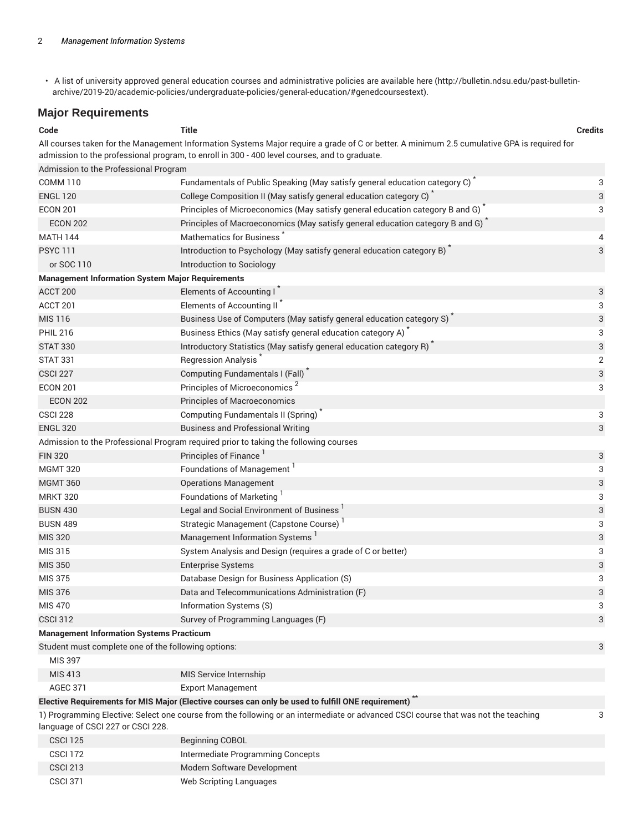• A list of university approved general education courses and administrative policies are available here (http://bulletin.ndsu.edu/past-bulletinarchive/2019-20/academic-policies/undergraduate-policies/general-education/#genedcoursestext).

#### **Major Requirements**

| Code                                                                                                                                                                         | <b>Title</b>                                                                                                                                                                                                                                 | <b>Credits</b> |  |  |
|------------------------------------------------------------------------------------------------------------------------------------------------------------------------------|----------------------------------------------------------------------------------------------------------------------------------------------------------------------------------------------------------------------------------------------|----------------|--|--|
|                                                                                                                                                                              | All courses taken for the Management Information Systems Major require a grade of C or better. A minimum 2.5 cumulative GPA is required for<br>admission to the professional program, to enroll in 300 - 400 level courses, and to graduate. |                |  |  |
| Admission to the Professional Program                                                                                                                                        |                                                                                                                                                                                                                                              |                |  |  |
| <b>COMM 110</b>                                                                                                                                                              | Fundamentals of Public Speaking (May satisfy general education category C) <sup>*</sup>                                                                                                                                                      | 3              |  |  |
| <b>ENGL 120</b>                                                                                                                                                              | College Composition II (May satisfy general education category C) <sup>*</sup>                                                                                                                                                               | 3              |  |  |
| <b>ECON 201</b>                                                                                                                                                              | Principles of Microeconomics (May satisfy general education category B and G)                                                                                                                                                                | 3              |  |  |
| <b>ECON 202</b>                                                                                                                                                              | Principles of Macroeconomics (May satisfy general education category B and G)                                                                                                                                                                |                |  |  |
| <b>MATH 144</b>                                                                                                                                                              | <b>Mathematics for Business</b>                                                                                                                                                                                                              | 4              |  |  |
| <b>PSYC 111</b>                                                                                                                                                              | Introduction to Psychology (May satisfy general education category B)                                                                                                                                                                        | 3              |  |  |
| or SOC 110                                                                                                                                                                   | Introduction to Sociology                                                                                                                                                                                                                    |                |  |  |
| <b>Management Information System Major Requirements</b>                                                                                                                      |                                                                                                                                                                                                                                              |                |  |  |
| ACCT 200                                                                                                                                                                     | Elements of Accounting I                                                                                                                                                                                                                     | 3              |  |  |
| ACCT 201                                                                                                                                                                     | Elements of Accounting II                                                                                                                                                                                                                    | 3              |  |  |
| <b>MIS 116</b>                                                                                                                                                               | Business Use of Computers (May satisfy general education category S)                                                                                                                                                                         | 3              |  |  |
| <b>PHIL 216</b>                                                                                                                                                              | Business Ethics (May satisfy general education category A)                                                                                                                                                                                   | 3              |  |  |
| <b>STAT 330</b>                                                                                                                                                              | Introductory Statistics (May satisfy general education category R)                                                                                                                                                                           | 3              |  |  |
| <b>STAT 331</b>                                                                                                                                                              | <b>Regression Analysis</b>                                                                                                                                                                                                                   | $\overline{2}$ |  |  |
| <b>CSCI 227</b>                                                                                                                                                              | Computing Fundamentals I (Fall)                                                                                                                                                                                                              | 3              |  |  |
| <b>ECON 201</b>                                                                                                                                                              | Principles of Microeconomics <sup>2</sup>                                                                                                                                                                                                    | 3              |  |  |
| <b>ECON 202</b>                                                                                                                                                              | Principles of Macroeconomics                                                                                                                                                                                                                 |                |  |  |
| <b>CSCI 228</b>                                                                                                                                                              | Computing Fundamentals II (Spring)                                                                                                                                                                                                           | 3              |  |  |
| <b>ENGL 320</b>                                                                                                                                                              | <b>Business and Professional Writing</b>                                                                                                                                                                                                     | 3              |  |  |
|                                                                                                                                                                              | Admission to the Professional Program required prior to taking the following courses                                                                                                                                                         |                |  |  |
| <b>FIN 320</b>                                                                                                                                                               | Principles of Finance                                                                                                                                                                                                                        | 3              |  |  |
| <b>MGMT 320</b>                                                                                                                                                              | Foundations of Management                                                                                                                                                                                                                    | 3              |  |  |
| <b>MGMT 360</b>                                                                                                                                                              | <b>Operations Management</b>                                                                                                                                                                                                                 | 3              |  |  |
| <b>MRKT 320</b>                                                                                                                                                              | Foundations of Marketing                                                                                                                                                                                                                     | 3              |  |  |
| <b>BUSN 430</b>                                                                                                                                                              | Legal and Social Environment of Business                                                                                                                                                                                                     | 3              |  |  |
| <b>BUSN 489</b>                                                                                                                                                              | Strategic Management (Capstone Course)                                                                                                                                                                                                       | 3              |  |  |
| <b>MIS 320</b>                                                                                                                                                               | Management Information Systems                                                                                                                                                                                                               | 3              |  |  |
| MIS 315                                                                                                                                                                      | System Analysis and Design (requires a grade of C or better)                                                                                                                                                                                 | 3              |  |  |
| <b>MIS 350</b>                                                                                                                                                               | <b>Enterprise Systems</b>                                                                                                                                                                                                                    | 3              |  |  |
| <b>MIS 375</b>                                                                                                                                                               | Database Design for Business Application (S)                                                                                                                                                                                                 | 3              |  |  |
| MIS 376                                                                                                                                                                      | Data and Telecommunications Administration (F)                                                                                                                                                                                               | 3              |  |  |
| <b>MIS 470</b>                                                                                                                                                               | Information Systems (S)                                                                                                                                                                                                                      | 3              |  |  |
| <b>CSCI 312</b>                                                                                                                                                              | Survey of Programming Languages (F)                                                                                                                                                                                                          | 3              |  |  |
| <b>Management Information Systems Practicum</b>                                                                                                                              |                                                                                                                                                                                                                                              |                |  |  |
| Student must complete one of the following options:                                                                                                                          |                                                                                                                                                                                                                                              | 3              |  |  |
| MIS 397                                                                                                                                                                      |                                                                                                                                                                                                                                              |                |  |  |
| MIS 413                                                                                                                                                                      | MIS Service Internship                                                                                                                                                                                                                       |                |  |  |
| <b>AGEC 371</b>                                                                                                                                                              | <b>Export Management</b>                                                                                                                                                                                                                     |                |  |  |
|                                                                                                                                                                              | Elective Requirements for MIS Major (Elective courses can only be used to fulfill ONE requirement)                                                                                                                                           |                |  |  |
| 1) Programming Elective: Select one course from the following or an intermediate or advanced CSCI course that was not the teaching<br>3<br>language of CSCI 227 or CSCI 228. |                                                                                                                                                                                                                                              |                |  |  |

| <b>CSCI 125</b> | <b>Beginning COBOL</b>            |
|-----------------|-----------------------------------|
| <b>CSCI 172</b> | Intermediate Programming Concepts |
| <b>CSCI 213</b> | Modern Software Development       |
| <b>CSCI 371</b> | Web Scripting Languages           |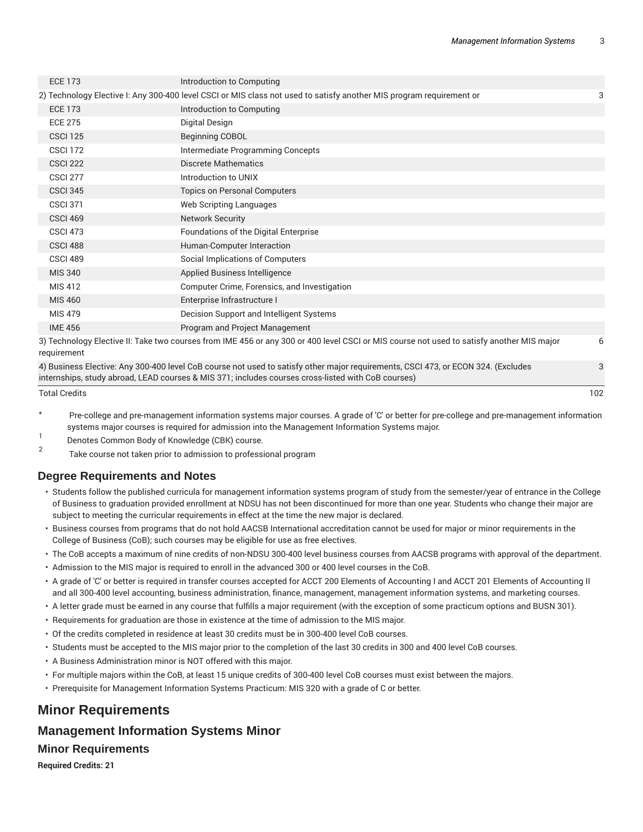3

| <b>ECE 173</b>                                                                                                                                           | Introduction to Computing                                                                                            |   |  |
|----------------------------------------------------------------------------------------------------------------------------------------------------------|----------------------------------------------------------------------------------------------------------------------|---|--|
|                                                                                                                                                          | 2) Technology Elective I: Any 300-400 level CSCI or MIS class not used to satisfy another MIS program requirement or | 3 |  |
| <b>ECE 173</b>                                                                                                                                           | Introduction to Computing                                                                                            |   |  |
| <b>ECE 275</b>                                                                                                                                           | Digital Design                                                                                                       |   |  |
| <b>CSCI 125</b>                                                                                                                                          | <b>Beginning COBOL</b>                                                                                               |   |  |
| <b>CSCI 172</b>                                                                                                                                          | Intermediate Programming Concepts                                                                                    |   |  |
| <b>CSCI 222</b>                                                                                                                                          | <b>Discrete Mathematics</b>                                                                                          |   |  |
| <b>CSCI 277</b>                                                                                                                                          | Introduction to UNIX                                                                                                 |   |  |
| <b>CSCI 345</b>                                                                                                                                          | <b>Topics on Personal Computers</b>                                                                                  |   |  |
| <b>CSCI 371</b>                                                                                                                                          | Web Scripting Languages                                                                                              |   |  |
| <b>CSCI 469</b>                                                                                                                                          | <b>Network Security</b>                                                                                              |   |  |
| <b>CSCI 473</b>                                                                                                                                          | Foundations of the Digital Enterprise                                                                                |   |  |
| CSCI <sub>488</sub>                                                                                                                                      | Human-Computer Interaction                                                                                           |   |  |
| CSCI 489                                                                                                                                                 | Social Implications of Computers                                                                                     |   |  |
| <b>MIS 340</b>                                                                                                                                           | Applied Business Intelligence                                                                                        |   |  |
| MIS 412                                                                                                                                                  | Computer Crime, Forensics, and Investigation                                                                         |   |  |
| MIS 460                                                                                                                                                  | Enterprise Infrastructure I                                                                                          |   |  |
| <b>MIS 479</b>                                                                                                                                           | Decision Support and Intelligent Systems                                                                             |   |  |
| <b>IME 456</b>                                                                                                                                           | Program and Project Management                                                                                       |   |  |
| 3) Technology Elective II: Take two courses from IME 456 or any 300 or 400 level CSCI or MIS course not used to satisfy another MIS major<br>requirement |                                                                                                                      |   |  |
|                                                                                                                                                          |                                                                                                                      |   |  |

4) Business Elective: Any 300-400 level CoB course not used to satisfy other major requirements, CSCI 473, or ECON 324. (Excludes internships, study abroad, LEAD courses & MIS 371; includes courses cross-listed with CoB courses)

Total Credits 102

- Pre-college and pre-management information systems major courses. A grade of 'C' or better for pre-college and pre-management information systems major courses is required for admission into the Management Information Systems major.
- 1 Denotes Common Body of Knowledge (CBK) course.
- 2 Take course not taken prior to admission to professional program

#### **Degree Requirements and Notes**

- Students follow the published curricula for management information systems program of study from the semester/year of entrance in the College of Business to graduation provided enrollment at NDSU has not been discontinued for more than one year. Students who change their major are subject to meeting the curricular requirements in effect at the time the new major is declared.
- Business courses from programs that do not hold AACSB International accreditation cannot be used for major or minor requirements in the College of Business (CoB); such courses may be eligible for use as free electives.
- The CoB accepts a maximum of nine credits of non-NDSU 300-400 level business courses from AACSB programs with approval of the department.
- Admission to the MIS major is required to enroll in the advanced 300 or 400 level courses in the CoB.
- A grade of 'C' or better is required in transfer courses accepted for ACCT 200 Elements of Accounting I and ACCT 201 Elements of Accounting II and all 300-400 level accounting, business administration, finance, management, management information systems, and marketing courses.
- A letter grade must be earned in any course that fulfills a major requirement (with the exception of some practicum options and BUSN 301).
- Requirements for graduation are those in existence at the time of admission to the MIS major.
- Of the credits completed in residence at least 30 credits must be in 300-400 level CoB courses.
- Students must be accepted to the MIS major prior to the completion of the last 30 credits in 300 and 400 level CoB courses.
- A Business Administration minor is NOT offered with this major.
- For multiple majors within the CoB, at least 15 unique credits of 300-400 level CoB courses must exist between the majors.
- Prerequisite for Management Information Systems Practicum: MIS 320 with a grade of C or better.

## **Minor Requirements**

#### **Management Information Systems Minor**

#### **Minor Requirements**

**Required Credits: 21**